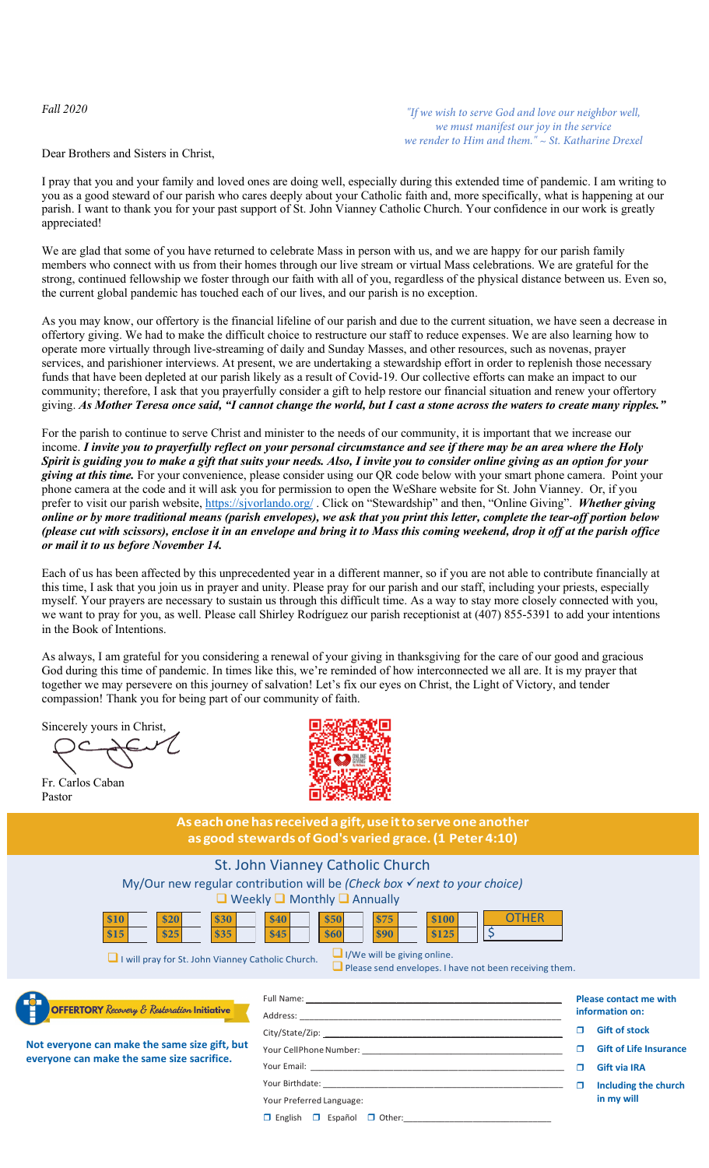*Fall 2020*

*"If we wish to serve God and love our neighbor well, we must manifest our joy in the service we render to Him and them." ~ St. Katharine Drexel*

Dear Brothers and Sisters in Christ,

I pray that you and your family and loved ones are doing well, especially during this extended time of pandemic. I am writing to you as a good steward of our parish who cares deeply about your Catholic faith and, more specifically, what is happening at our parish. I want to thank you for your past support of St. John Vianney Catholic Church. Your confidence in our work is greatly appreciated!

We are glad that some of you have returned to celebrate Mass in person with us, and we are happy for our parish family members who connect with us from their homes through our live stream or virtual Mass celebrations. We are grateful for the strong, continued fellowship we foster through our faith with all of you, regardless of the physical distance between us. Even so, the current global pandemic has touched each of our lives, and our parish is no exception.

As you may know, our offertory is the financial lifeline of our parish and due to the current situation, we have seen a decrease in offertory giving. We had to make the difficult choice to restructure our staff to reduce expenses. We are also learning how to operate more virtually through live-streaming of daily and Sunday Masses, and other resources, such as novenas, prayer services, and parishioner interviews. At present, we are undertaking a stewardship effort in order to replenish those necessary funds that have been depleted at our parish likely as a result of Covid-19. Our collective efforts can make an impact to our community; therefore, I ask that you prayerfully consider a gift to help restore our financial situation and renew your offertory giving. *As Mother Teresa once said, "I cannot change the world, but I cast a stone across the waters to create many ripples."*

For the parish to continue to serve Christ and minister to the needs of our community, it is important that we increase our income. *I invite you to prayerfully reflect on your personal circumstance and see if there may be an area where the Holy Spirit is guiding you to make a gift that suits your needs. Also, I invite you to consider online giving as an option for your giving at this time.* For your convenience, please consider using our QR code below with your smart phone camera. Point your phone camera at the code and it will ask you for permission to open the WeShare website for St. John Vianney. Or, if you prefer to visit our parish website,<https://sjvorlando.org/> . Click on "Stewardship" and then, "Online Giving". *Whether giving online or by more traditional means (parish envelopes), we ask that you print this letter, complete the tear-off portion below (please cut with scissors), enclose it in an envelope and bring it to Mass this coming weekend, drop it off at the parish office or mail it to us before November 14.* 

Each of us has been affected by this unprecedented year in a different manner, so if you are not able to contribute financially at this time, I ask that you join us in prayer and unity. Please pray for our parish and our staff, including your priests, especially myself. Your prayers are necessary to sustain us through this difficult time. As a way to stay more closely connected with you, we want to pray for you, as well. Please call Shirley Rodríguez our parish receptionist at (407) 855-5391 to add your intentions in the Book of Intentions.

As always, I am grateful for you considering a renewal of your giving in thanksgiving for the care of our good and gracious God during this time of pandemic. In times like this, we're reminded of how interconnected we all are. It is my prayer that together we may persevere on this journey of salvation! Let's fix our eyes on Christ, the Light of Victory, and tender compassion! Thank you for being part of our community of faith.

Sincerely yours in Christ,

Fr. Carlos Caban Pastor



**Aseachonehasreceiveda gift,useittoserveoneanother as good stewards ofGod's varied grace.(1 Peter 4:10)**

## St. John Vianney Catholic Church

My/Our new regular contribution will be *(Check box next to your choice)*  $\Box$  Weekly  $\Box$  Monthly  $\Box$  Annually



 $\Box$  I will pray for St. John Vianney Catholic Church.

 $\Box$  Please send envelopes. I have not been receiving them.



**Not everyone can make the same size gift, but everyone can make the same size sacrifice.**

| Full Name: 1988 Contract Contract Contract Contract Contract Contract Contract Contract Contract Contract Contract Contract Contract Contract Contract Contract Contract Contract Contract Contract Contract Contract Contract |
|--------------------------------------------------------------------------------------------------------------------------------------------------------------------------------------------------------------------------------|
|                                                                                                                                                                                                                                |
|                                                                                                                                                                                                                                |
|                                                                                                                                                                                                                                |
|                                                                                                                                                                                                                                |
|                                                                                                                                                                                                                                |
| Your Preferred Language:                                                                                                                                                                                                       |

 $\square$  English  $\square$  Español  $\square$  Other:

**Please contact me with information on:**

- **Gift of stock**
- **Gift of Life Insurance**
- **Gift via IRA**
- **Including the church in my will**